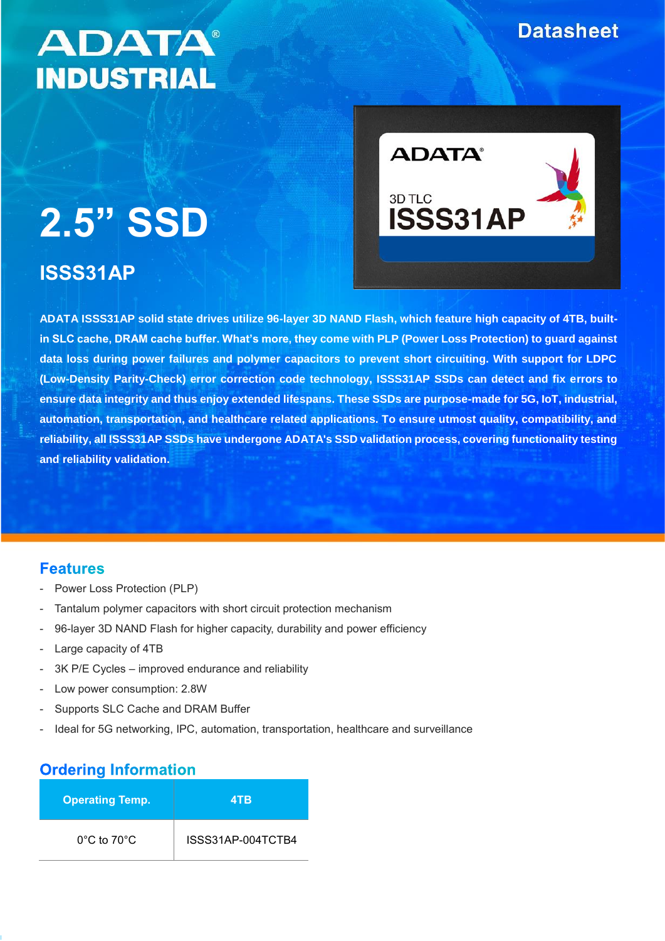# **Datasheet**

# **ADATA® INDUSTRIAL**

# **2.5" SSD**

# **ISSS31AP**



**ADATA ISSS31AP solid state drives utilize 96-layer 3D NAND Flash, which feature high capacity of 4TB, builtin SLC cache, DRAM cache buffer. What's more, they come with PLP (Power Loss Protection) to guard against data loss during power failures and polymer capacitors to prevent short circuiting. With support for LDPC (Low-Density Parity-Check) error correction code technology, ISSS31AP SSDs can detect and fix errors to ensure data integrity and thus enjoy extended lifespans. These SSDs are purpose-made for 5G, IoT, industrial, automation, transportation, and healthcare related applications. To ensure utmost quality, compatibility, and reliability, all ISSS31AP SSDs have undergone ADATA's SSD validation process, covering functionality testing and reliability validation.**

### **Features**

- Power Loss Protection (PLP)
- Tantalum polymer capacitors with short circuit protection mechanism
- 96-layer 3D NAND Flash for higher capacity, durability and power efficiency
- Large capacity of 4TB
- 3K P/E Cycles improved endurance and reliability
- Low power consumption: 2.8W
- Supports SLC Cache and DRAM Buffer
- Ideal for 5G networking, IPC, automation, transportation, healthcare and surveillance

# **Ordering Information**

| <b>Operating Temp.</b>          | 4TB               |
|---------------------------------|-------------------|
| $0^{\circ}$ C to $70^{\circ}$ C | ISSS31AP-004TCTB4 |